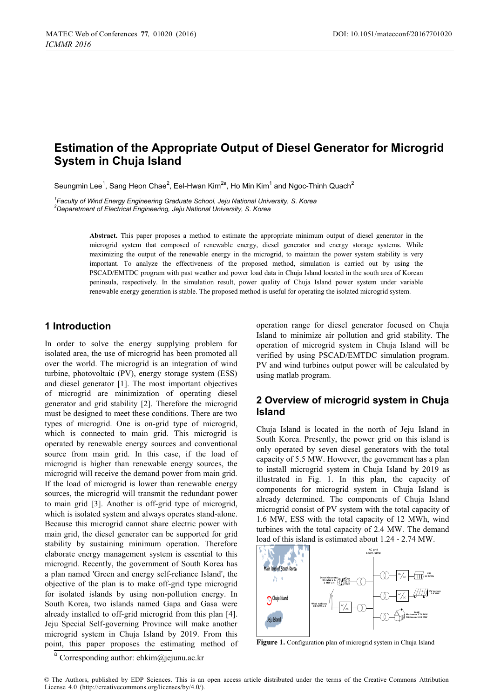# **Estimation of the Appropriate Output of Diesel Generator for Microgrid System in Chuja Island**

Seungmin Lee<sup>1</sup>, Sang Heon Chae<sup>2</sup>, Eel-Hwan Kim<sup>2a</sup>, Ho Min Kim<sup>1</sup> and Ngoc-Thinh Quach<sup>2</sup>

<sup>1</sup> Faculty of Wind Energy Engineering Graduate School, Jeju National University, S. Korea <sup>2</sup><br><sup>2</sup> Deparatment of Electrical Engineering Jeju National University, S. Korea *Deparetment of Electrical Engineering, Jeju National University, S. Korea* 

> **Abstract.** This paper proposes a method to estimate the appropriate minimum output of diesel generator in the microgrid system that composed of renewable energy, diesel generator and energy storage systems. While maximizing the output of the renewable energy in the microgrid, to maintain the power system stability is very important. To analyze the effectiveness of the proposed method, simulation is carried out by using the PSCAD/EMTDC program with past weather and power load data in Chuja Island located in the south area of Korean peninsula, respectively. In the simulation result, power quality of Chuja Island power system under variable renewable energy generation is stable. The proposed method is useful for operating the isolated microgrid system.

### **1 Introduction**

In order to solve the energy supplying problem for isolated area, the use of microgrid has been promoted all over the world. The microgrid is an integration of wind turbine, photovoltaic (PV), energy storage system (ESS) and diesel generator [1]. The most important objectives of microgrid are minimization of operating diesel generator and grid stability [2]. Therefore the microgrid must be designed to meet these conditions. There are two types of microgrid. One is on-grid type of microgrid, which is connected to main grid. This microgrid is operated by renewable energy sources and conventional source from main grid. In this case, if the load of microgrid is higher than renewable energy sources, the microgrid will receive the demand power from main grid. If the load of microgrid is lower than renewable energy sources, the microgrid will transmit the redundant power to main grid [3]. Another is off-grid type of microgrid, which is isolated system and always operates stand-alone. Because this microgrid cannot share electric power with main grid, the diesel generator can be supported for grid stability by sustaining minimum operation. Therefore elaborate energy management system is essential to this microgrid. Recently, the government of South Korea has a plan named 'Green and energy self-reliance Island', the objective of the plan is to make off-grid type microgrid for isolated islands by using non-pollution energy. In South Korea, two islands named Gapa and Gasa were already installed to off-grid microgrid from this plan [4]. Jeju Special Self-governing Province will make another microgrid system in Chuja Island by 2019. From this point, this paper proposes the estimating method of

operation range for diesel generator focused on Chuja Island to minimize air pollution and grid stability. The operation of microgrid system in Chuja Island will be verified by using PSCAD/EMTDC simulation program. PV and wind turbines output power will be calculated by using matlab program.

# **2 Overview of microgrid system in Chuja Island**

Chuja Island is located in the north of Jeju Island in South Korea. Presently, the power grid on this island is only operated by seven diesel generators with the total capacity of 5.5 MW. However, the government has a plan to install microgrid system in Chuja Island by 2019 as illustrated in Fig. 1. In this plan, the capacity of components for microgrid system in Chuja Island is already determined. The components of Chuja Island microgrid consist of PV system with the total capacity of 1.6 MW, ESS with the total capacity of 12 MWh, wind turbines with the total capacity of 2.4 MW. The demand load of this island is estimated about 1.24 - 2.74 MW.



**Figure 1.** Configuration plan of microgrid system in Chuja Island

<sup>&</sup>lt;sup>a</sup> Corresponding author: ehkim@jejunu.ac.kr

<sup>©</sup> The Authors, published by EDP Sciences. This is an open access article distributed under the terms of the Creative Commons Attribution License 4.0 (http://creativecommons.org/licenses/by/4.0/).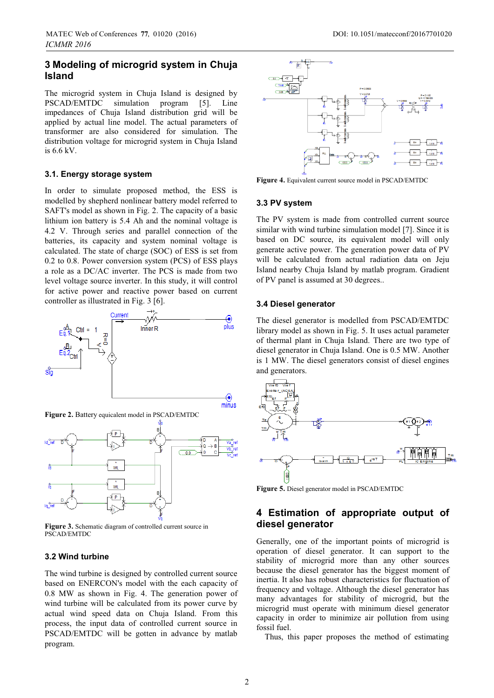# **3 Modeling of microgrid system in Chuja Island**

The microgrid system in Chuja Island is designed by PSCAD/EMTDC simulation program [5]. Line impedances of Chuja Island distribution grid will be applied by actual line model. The actual parameters of transformer are also considered for simulation. The distribution voltage for microgrid system in Chuja Island is 6.6 kV.

#### **3.1. Energy storage system**

In order to simulate proposed method, the ESS is modelled by shepherd nonlinear battery model referred to SAFT's model as shown in Fig. 2. The capacity of a basic lithium ion battery is 5.4 Ah and the nominal voltage is 4.2 V. Through series and parallel connection of the batteries, its capacity and system nominal voltage is calculated. The state of charge (SOC) of ESS is set from 0.2 to 0.8. Power conversion system (PCS) of ESS plays a role as a DC/AC inverter. The PCS is made from two level voltage source inverter. In this study, it will control for active power and reactive power based on current controller as illustrated in Fig. 3 [6].





**Figure 3.** Schematic diagram of controlled current source in PSCAD/EMTDC

#### **3.2 Wind turbine**

The wind turbine is designed by controlled current source based on ENERCON's model with the each capacity of 0.8 MW as shown in Fig. 4. The generation power of wind turbine will be calculated from its power curve by actual wind speed data on Chuja Island. From this process, the input data of controlled current source in PSCAD/EMTDC will be gotten in advance by matlab program.



**Figure 4.** Equivalent current source model in PSCAD/EMTDC

#### **3.3 PV system**

The PV system is made from controlled current source similar with wind turbine simulation model [7]. Since it is based on DC source, its equivalent model will only generate active power. The generation power data of PV will be calculated from actual radiation data on Jeju Island nearby Chuja Island by matlab program. Gradient of PV panel is assumed at 30 degrees..

#### **3.4 Diesel generator**

The diesel generator is modelled from PSCAD/EMTDC library model as shown in Fig. 5. It uses actual parameter of thermal plant in Chuja Island. There are two type of diesel generator in Chuja Island. One is 0.5 MW. Another is 1 MW. The diesel generators consist of diesel engines and generators.



**Figure 5.** Diesel generator model in PSCAD/EMTDC

# **4 Estimation of appropriate output of diesel generator**

Generally, one of the important points of microgrid is operation of diesel generator. It can support to the stability of microgrid more than any other sources because the diesel generator has the biggest moment of inertia. It also has robust characteristics for fluctuation of frequency and voltage. Although the diesel generator has many advantages for stability of microgrid, but the microgrid must operate with minimum diesel generator capacity in order to minimize air pollution from using fossil fuel.

Thus, this paper proposes the method of estimating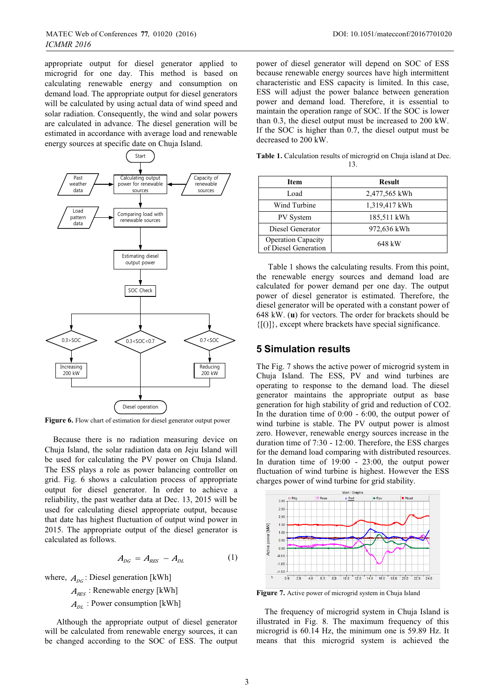appropriate output for diesel generator applied to microgrid for one day. This method is based on calculating renewable energy and consumption on demand load. The appropriate output for diesel generators will be calculated by using actual data of wind speed and solar radiation. Consequently, the wind and solar powers are calculated in advance. The diesel generation will be estimated in accordance with average load and renewable energy sources at specific date on Chuja Island.



Figure 6. Flow chart of estimation for diesel generator output power

Because there is no radiation measuring device on Chuja Island, the solar radiation data on Jeju Island will be used for calculating the PV power on Chuja Island. The ESS plays a role as power balancing controller on grid. Fig. 6 shows a calculation process of appropriate output for diesel generator. In order to achieve a reliability, the past weather data at Dec. 13, 2015 will be used for calculating diesel appropriate output, because that date has highest fluctuation of output wind power in 2015. The appropriate output of the diesel generator is calculated as follows.

$$
A_{DG} = A_{RES} - A_{DL} \tag{1}
$$

where,  $A_{\text{loc}}$ : Diesel generation [kWh]

 $A_{RES}$ : Renewable energy [kWh]  $A_{\scriptscriptstyle{DI}}$ : Power consumption [kWh]

Although the appropriate output of diesel generator will be calculated from renewable energy sources, it can be changed according to the SOC of ESS. The output

power of diesel generator will depend on SOC of ESS because renewable energy sources have high intermittent characteristic and ESS capacity is limited. In this case, ESS will adjust the power balance between generation power and demand load. Therefore, it is essential to maintain the operation range of SOC. If the SOC is lower than 0.3, the diesel output must be increased to 200 kW. If the SOC is higher than 0.7, the diesel output must be decreased to 200 kW.

**Table 1.** Calculation results of microgrid on Chuja island at Dec. 13.

| Item                                              | <b>Result</b> |
|---------------------------------------------------|---------------|
| Load                                              | 2,477,565 kWh |
| Wind Turbine                                      | 1,319,417 kWh |
| PV System                                         | 185,511 kWh   |
| Diesel Generator                                  | 972,636 kWh   |
| <b>Operation Capacity</b><br>of Diesel Generation | 648 kW        |

Table 1 shows the calculating results. From this point, the renewable energy sources and demand load are calculated for power demand per one day. The output power of diesel generator is estimated. Therefore, the diesel generator will be operated with a constant power of 648 kW. (**u**) for vectors. The order for brackets should be  ${[()]}$ , except where brackets have special significance.

### **5 Simulation results**

The Fig. 7 shows the active power of microgrid system in Chuja Island. The ESS, PV and wind turbines are operating to response to the demand load. The diesel generator maintains the appropriate output as base generation for high stability of grid and reduction of CO2. In the duration time of 0:00 - 6:00, the output power of wind turbine is stable. The PV output power is almost zero. However, renewable energy sources increase in the duration time of 7:30 - 12:00. Therefore, the ESS charges for the demand load comparing with distributed resources. In duration time of 19:00 - 23:00, the output power fluctuation of wind turbine is highest. However the ESS charges power of wind turbine for grid stability.



**Figure 7.** Active power of microgrid system in Chuja Island

The frequency of microgrid system in Chuja Island is illustrated in Fig. 8. The maximum frequency of this microgrid is 60.14 Hz, the minimum one is 59.89 Hz. It means that this microgrid system is achieved the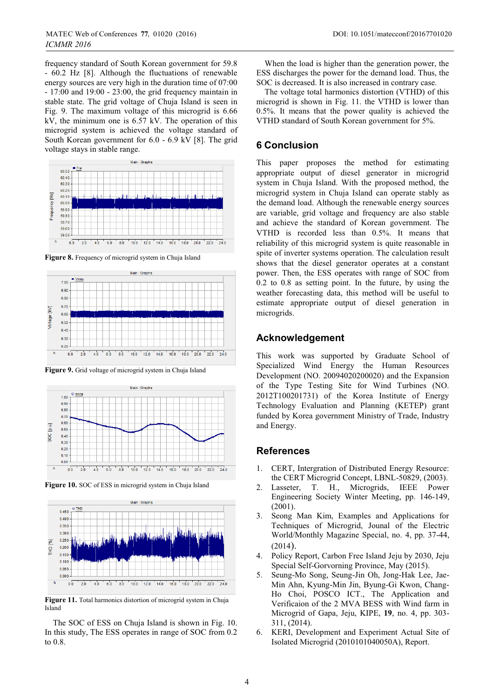frequency standard of South Korean government for 59.8 - 60.2 Hz [8]. Although the fluctuations of renewable energy sources are very high in the duration time of 07:00 - 17:00 and 19:00 - 23:00, the grid frequency maintain in stable state. The grid voltage of Chuja Island is seen in Fig. 9. The maximum voltage of this microgrid is 6.66 kV, the minimum one is 6.57 kV. The operation of this microgrid system is achieved the voltage standard of South Korean government for 6.0 - 6.9 kV [8]. The grid voltage stays in stable range.



Figure 8. Frequency of microgrid system in Chuja Island



**Figure 9.** Grid voltage of microgrid system in Chuja Island



Figure 10. SOC of ESS in microgrid system in Chuja Island



Figure 11. Total harmonics distortion of microgrid system in Chuja Island

The SOC of ESS on Chuja Island is shown in Fig. 10. In this study, The ESS operates in range of SOC from 0.2 to 0.8.

When the load is higher than the generation power, the ESS discharges the power for the demand load. Thus, the SOC is decreased. It is also increased in contrary case.

The voltage total harmonics distortion (VTHD) of this microgrid is shown in Fig. 11. the VTHD is lower than 0.5%. It means that the power quality is achieved the VTHD standard of South Korean government for 5%.

### **6 Conclusion**

This paper proposes the method for estimating appropriate output of diesel generator in microgrid system in Chuja Island. With the proposed method, the microgrid system in Chuja Island can operate stably as the demand load. Although the renewable energy sources are variable, grid voltage and frequency are also stable and achieve the standard of Korean government. The VTHD is recorded less than 0.5%. It means that reliability of this microgrid system is quite reasonable in spite of inverter systems operation. The calculation result shows that the diesel generator operates at a constant power. Then, the ESS operates with range of SOC from 0.2 to 0.8 as setting point. In the future, by using the weather forecasting data, this method will be useful to estimate appropriate output of diesel generation in microgrids.

### **Acknowledgement**

This work was supported by Graduate School of Specialized Wind Energy the Human Resources Development (NO. 20094020200020) and the Expansion of the Type Testing Site for Wind Turbines (NO. 2012T100201731) of the Korea Institute of Energy Technology Evaluation and Planning (KETEP) grant funded by Korea government Ministry of Trade, Industry and Energy.

#### **References**

- 1. CERT, Intergration of Distributed Energy Resource: the CERT Microgrid Concept, LBNL-50829, (2003).
- 2. Lasseter, T. H., Microgrids, IEEE Power Engineering Society Winter Meeting, pp. 146-149, (2001).
- 3. Seong Man Kim, Examples and Applications for Techniques of Microgrid, Jounal of the Electric World/Monthly Magazine Special, no. 4, pp. 37-44, (2014).
- 4. Policy Report, Carbon Free Island Jeju by 2030, Jeju Special Self-Gorvorning Province, May (2015).
- 5. Seung-Mo Song, Seung-Jin Oh, Jong-Hak Lee, Jae-Min Ahn, Kyung-Min Jin, Byung-Gi Kwon, Chang-Ho Choi, POSCO ICT., The Application and Verificaion of the 2 MVA BESS with Wind farm in Microgrid of Gapa, Jeju, KIPE, **19**, no. 4, pp. 303- 311, (2014).
- 6. KERI, Development and Experiment Actual Site of Isolated Microgrid (2010101040050A), Report.